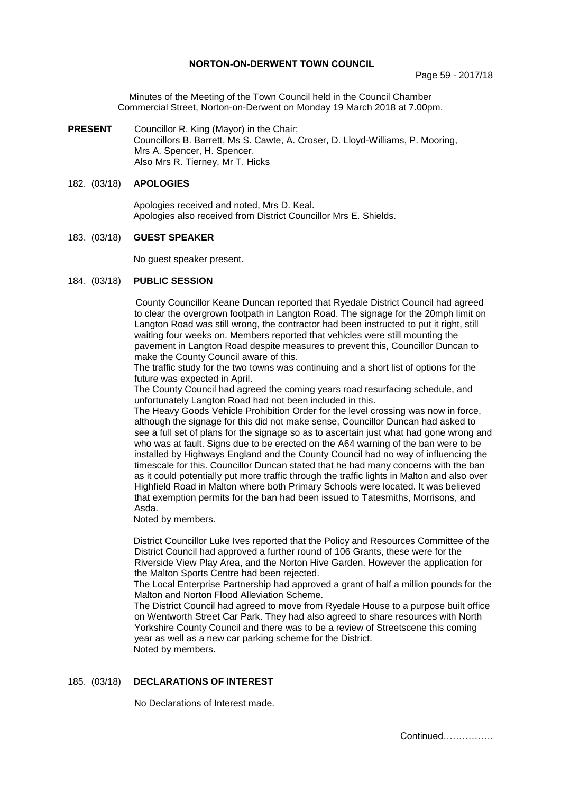### **NORTON-ON-DERWENT TOWN COUNCIL**

Minutes of the Meeting of the Town Council held in the Council Chamber Commercial Street, Norton-on-Derwent on Monday 19 March 2018 at 7.00pm.

**PRESENT** Councillor R. King (Mayor) in the Chair; Councillors B. Barrett, Ms S. Cawte, A. Croser, D. Lloyd-Williams, P. Mooring, Mrs A. Spencer, H. Spencer. Also Mrs R. Tierney, Mr T. Hicks

### 182. (03/18) **APOLOGIES**

 Apologies received and noted, Mrs D. Keal. Apologies also received from District Councillor Mrs E. Shields.

### 183. (03/18) **GUEST SPEAKER**

No guest speaker present.

### 184. (03/18) **PUBLIC SESSION**

County Councillor Keane Duncan reported that Ryedale District Council had agreed to clear the overgrown footpath in Langton Road. The signage for the 20mph limit on Langton Road was still wrong, the contractor had been instructed to put it right, still waiting four weeks on. Members reported that vehicles were still mounting the pavement in Langton Road despite measures to prevent this, Councillor Duncan to make the County Council aware of this.

The traffic study for the two towns was continuing and a short list of options for the future was expected in April.

The County Council had agreed the coming years road resurfacing schedule, and unfortunately Langton Road had not been included in this.

The Heavy Goods Vehicle Prohibition Order for the level crossing was now in force, although the signage for this did not make sense, Councillor Duncan had asked to see a full set of plans for the signage so as to ascertain just what had gone wrong and who was at fault. Signs due to be erected on the A64 warning of the ban were to be installed by Highways England and the County Council had no way of influencing the timescale for this. Councillor Duncan stated that he had many concerns with the ban as it could potentially put more traffic through the traffic lights in Malton and also over Highfield Road in Malton where both Primary Schools were located. It was believed that exemption permits for the ban had been issued to Tatesmiths, Morrisons, and Asda.

Noted by members.

District Councillor Luke Ives reported that the Policy and Resources Committee of the District Council had approved a further round of 106 Grants, these were for the Riverside View Play Area, and the Norton Hive Garden. However the application for the Malton Sports Centre had been rejected.

The Local Enterprise Partnership had approved a grant of half a million pounds for the Malton and Norton Flood Alleviation Scheme.

The District Council had agreed to move from Ryedale House to a purpose built office on Wentworth Street Car Park. They had also agreed to share resources with North Yorkshire County Council and there was to be a review of Streetscene this coming year as well as a new car parking scheme for the District. Noted by members.

### 185. (03/18) **DECLARATIONS OF INTEREST**

No Declarations of Interest made.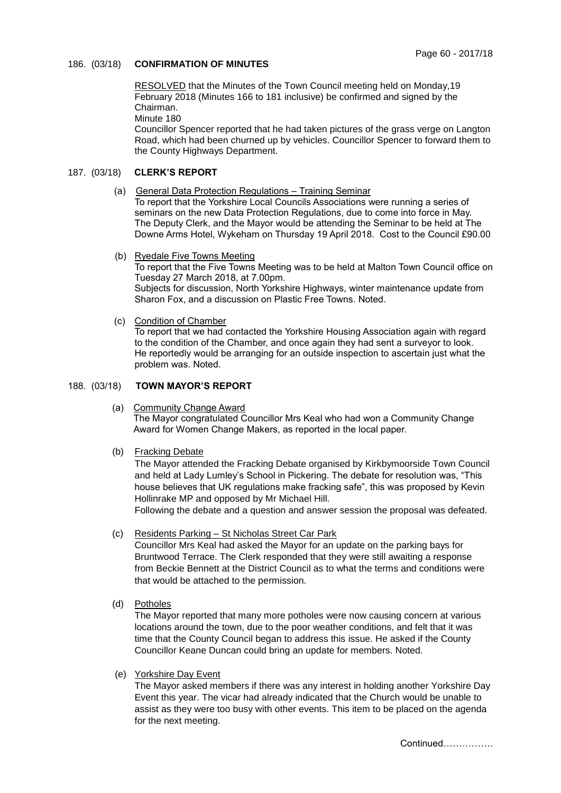# 186. (03/18) **CONFIRMATION OF MINUTES**

 RESOLVED that the Minutes of the Town Council meeting held on Monday,19 February 2018 (Minutes 166 to 181 inclusive) be confirmed and signed by the Chairman.

Minute 180

 Councillor Spencer reported that he had taken pictures of the grass verge on Langton Road, which had been churned up by vehicles. Councillor Spencer to forward them to the County Highways Department.

# 187. (03/18) **CLERK'S REPORT**

(a) General Data Protection Regulations – Training Seminar

To report that the Yorkshire Local Councils Associations were running a series of seminars on the new Data Protection Regulations, due to come into force in May. The Deputy Clerk, and the Mayor would be attending the Seminar to be held at The Downe Arms Hotel, Wykeham on Thursday 19 April 2018. Cost to the Council £90.00

(b) Ryedale Five Towns Meeting

To report that the Five Towns Meeting was to be held at Malton Town Council office on Tuesday 27 March 2018, at 7.00pm. Subjects for discussion, North Yorkshire Highways, winter maintenance update from Sharon Fox, and a discussion on Plastic Free Towns. Noted.

(c) Condition of Chamber

To report that we had contacted the Yorkshire Housing Association again with regard to the condition of the Chamber, and once again they had sent a surveyor to look. He reportedly would be arranging for an outside inspection to ascertain just what the problem was. Noted.

# 188. (03/18) **TOWN MAYOR'S REPORT**

(a) Community Change Award

The Mayor congratulated Councillor Mrs Keal who had won a Community Change Award for Women Change Makers, as reported in the local paper.

(b) Fracking Debate

The Mayor attended the Fracking Debate organised by Kirkbymoorside Town Council and held at Lady Lumley's School in Pickering. The debate for resolution was, "This house believes that UK regulations make fracking safe", this was proposed by Kevin Hollinrake MP and opposed by Mr Michael Hill.

Following the debate and a question and answer session the proposal was defeated.

(c) Residents Parking – St Nicholas Street Car Park

Councillor Mrs Keal had asked the Mayor for an update on the parking bays for Bruntwood Terrace. The Clerk responded that they were still awaiting a response from Beckie Bennett at the District Council as to what the terms and conditions were that would be attached to the permission.

(d) Potholes

The Mayor reported that many more potholes were now causing concern at various locations around the town, due to the poor weather conditions, and felt that it was time that the County Council began to address this issue. He asked if the County Councillor Keane Duncan could bring an update for members. Noted.

(e) Yorkshire Day Event

The Mayor asked members if there was any interest in holding another Yorkshire Day Event this year. The vicar had already indicated that the Church would be unable to assist as they were too busy with other events. This item to be placed on the agenda for the next meeting.

Continued…………….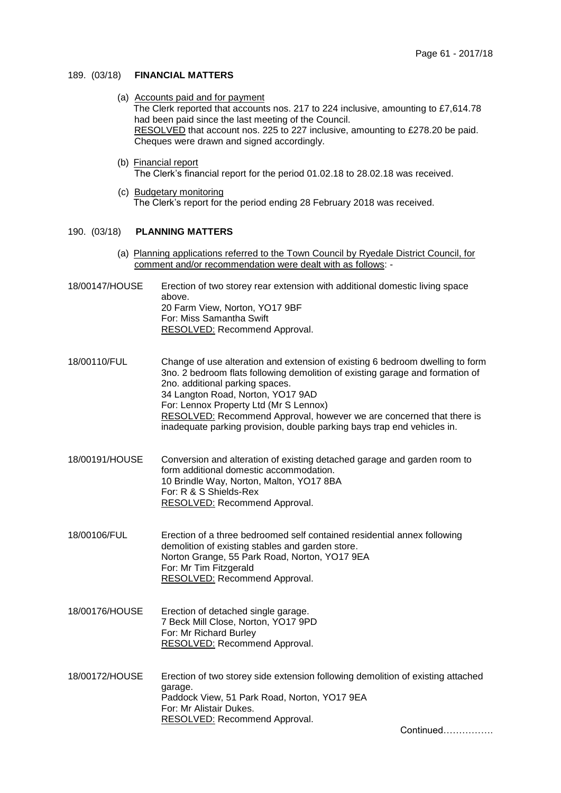### 189. (03/18) **FINANCIAL MATTERS**

- (a) Accounts paid and for payment The Clerk reported that accounts nos. 217 to 224 inclusive, amounting to £7,614.78 had been paid since the last meeting of the Council. RESOLVED that account nos. 225 to 227 inclusive, amounting to £278.20 be paid. Cheques were drawn and signed accordingly.
- (b) Financial report The Clerk's financial report for the period 01.02.18 to 28.02.18 was received.
- (c) Budgetary monitoring The Clerk's report for the period ending 28 February 2018 was received.

### 190. (03/18) **PLANNING MATTERS**

- (a) Planning applications referred to the Town Council by Ryedale District Council, for comment and/or recommendation were dealt with as follows: -
- 18/00147/HOUSE Erection of two storey rear extension with additional domestic living space above. 20 Farm View, Norton, YO17 9BF For: Miss Samantha Swift RESOLVED: Recommend Approval.
- 18/00110/FUL Change of use alteration and extension of existing 6 bedroom dwelling to form 3no. 2 bedroom flats following demolition of existing garage and formation of 2no. additional parking spaces. 34 Langton Road, Norton, YO17 9AD For: Lennox Property Ltd (Mr S Lennox) RESOLVED: Recommend Approval, however we are concerned that there is inadequate parking provision, double parking bays trap end vehicles in.
- 18/00191/HOUSE Conversion and alteration of existing detached garage and garden room to form additional domestic accommodation. 10 Brindle Way, Norton, Malton, YO17 8BA For: R & S Shields-Rex RESOLVED: Recommend Approval.
- 18/00106/FUL Erection of a three bedroomed self contained residential annex following demolition of existing stables and garden store. Norton Grange, 55 Park Road, Norton, YO17 9EA For: Mr Tim Fitzgerald RESOLVED: Recommend Approval.
- 18/00176/HOUSE Erection of detached single garage. 7 Beck Mill Close, Norton, YO17 9PD For: Mr Richard Burley RESOLVED: Recommend Approval.
- 18/00172/HOUSE Erection of two storey side extension following demolition of existing attached garage. Paddock View, 51 Park Road, Norton, YO17 9EA For: Mr Alistair Dukes. RESOLVED: Recommend Approval.

Continued…………….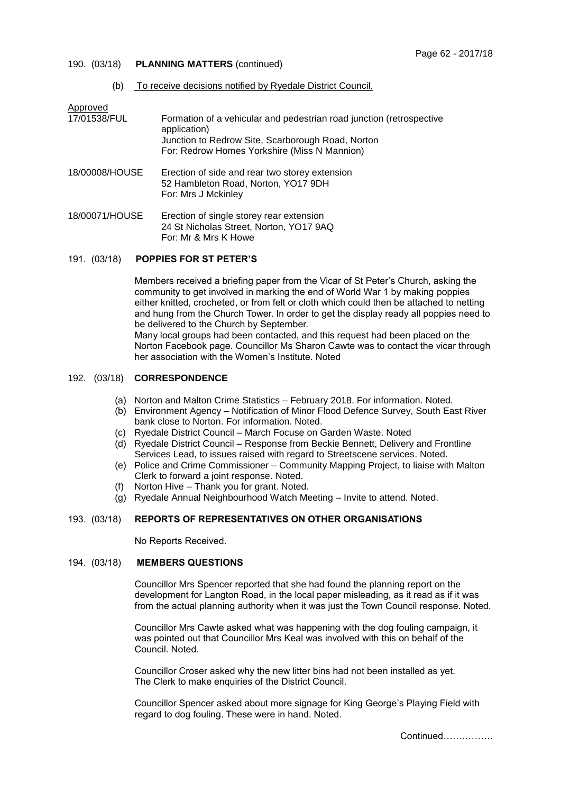### 190. (03/18) **PLANNING MATTERS** (continued)

(b) To receive decisions notified by Ryedale District Council.

| Approved       |                                                                                                              |
|----------------|--------------------------------------------------------------------------------------------------------------|
| 17/01538/FUL   | Formation of a vehicular and pedestrian road junction (retrospective<br>application)                         |
|                | Junction to Redrow Site, Scarborough Road, Norton                                                            |
|                | For: Redrow Homes Yorkshire (Miss N Mannion)                                                                 |
| 18/00008/HOUSE | Erection of side and rear two storey extension<br>52 Hambleton Road, Norton, YO17 9DH<br>For: Mrs J Mckinley |
| 18/00071/HOUSE | Erection of single storey rear extension<br>24 St Nicholas Street, Norton, YO17 9AQ<br>For: Mr & Mrs K Howe  |

### 191. (03/18) **POPPIES FOR ST PETER'S**

Members received a briefing paper from the Vicar of St Peter's Church, asking the community to get involved in marking the end of World War 1 by making poppies either knitted, crocheted, or from felt or cloth which could then be attached to netting and hung from the Church Tower. In order to get the display ready all poppies need to be delivered to the Church by September. Many local groups had been contacted, and this request had been placed on the Norton Facebook page. Councillor Ms Sharon Cawte was to contact the vicar through

### 192. (03/18) **CORRESPONDENCE**

- (a) Norton and Malton Crime Statistics February 2018. For information. Noted.
- (b) Environment Agency Notification of Minor Flood Defence Survey, South East River bank close to Norton. For information. Noted.
- (c) Ryedale District Council March Focuse on Garden Waste. Noted

her association with the Women's Institute. Noted

- (d) Ryedale District Council Response from Beckie Bennett, Delivery and Frontline Services Lead, to issues raised with regard to Streetscene services. Noted.
- (e) Police and Crime Commissioner Community Mapping Project, to liaise with Malton Clerk to forward a joint response. Noted.
- (f) Norton Hive Thank you for grant. Noted.
- (g) Ryedale Annual Neighbourhood Watch Meeting Invite to attend. Noted.

### 193. (03/18) **REPORTS OF REPRESENTATIVES ON OTHER ORGANISATIONS**

No Reports Received.

### 194. (03/18) **MEMBERS QUESTIONS**

Councillor Mrs Spencer reported that she had found the planning report on the development for Langton Road, in the local paper misleading, as it read as if it was from the actual planning authority when it was just the Town Council response. Noted.

Councillor Mrs Cawte asked what was happening with the dog fouling campaign, it was pointed out that Councillor Mrs Keal was involved with this on behalf of the Council. Noted.

Councillor Croser asked why the new litter bins had not been installed as yet. The Clerk to make enquiries of the District Council.

Councillor Spencer asked about more signage for King George's Playing Field with regard to dog fouling. These were in hand. Noted.

Continued…………….